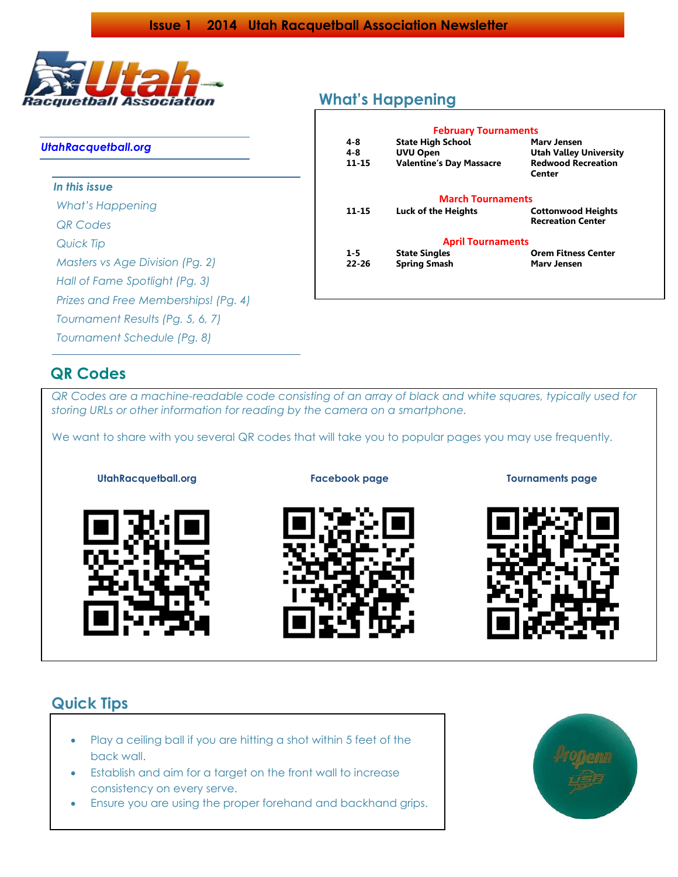

### *UtahRacquetball.org*

*In this issue*

*What's Happening*

*QR Codes*

*Quick Tip*

*Masters vs Age Division (Pg. 2)*

*Hall of Fame Spotlight (Pg. 3)*

*Prizes and Free Memberships! (Pg. 4)*

*Tournament Results (Pg. 5, 6, 7)* 

*Tournament Schedule (Pg. 8)*

## **QR Codes**

*QR Codes are a machine-readable code consisting of an array of black and white squares, typically used for storing URLs or other information for reading by the camera on a smartphone.*

We want to share with you several QR codes that will take you to popular pages you may use frequently.





**UtahRacquetball.org Facebook page Tournaments page**



## **Quick Tips**

- Play a [ceiling ball](http://racquetball-lessons.com/2011/01/15/ceiling-balls/) if you are hitting a shot within 5 feet of the back wall.
- Establish and aim for a target on the front wall to increase consistency on every serve.
- Ensure you are [using the proper forehand](http://racquetball-lessons.com/2011/01/14/forehand-and-backhand-grip/) and backhand grips.



## **What's Happening**

| 4-8       | <b>February Tournaments</b><br><b>State High School</b> | Mary Jensen                                           |
|-----------|---------------------------------------------------------|-------------------------------------------------------|
| 4-8       | <b>UVU Open</b>                                         | <b>Utah Valley University</b>                         |
| 11-15     | <b>Valentine's Day Massacre</b>                         | <b>Redwood Recreation</b><br>Center                   |
|           | <b>March Tournaments</b>                                |                                                       |
| 11-15     | Luck of the Heights                                     | <b>Cottonwood Heights</b><br><b>Recreation Center</b> |
|           | <b>April Tournaments</b>                                |                                                       |
| $1-5$     | <b>State Singles</b>                                    | <b>Orem Fitness Center</b>                            |
| $22 - 26$ | <b>Spring Smash</b>                                     | <b>Mary Jensen</b>                                    |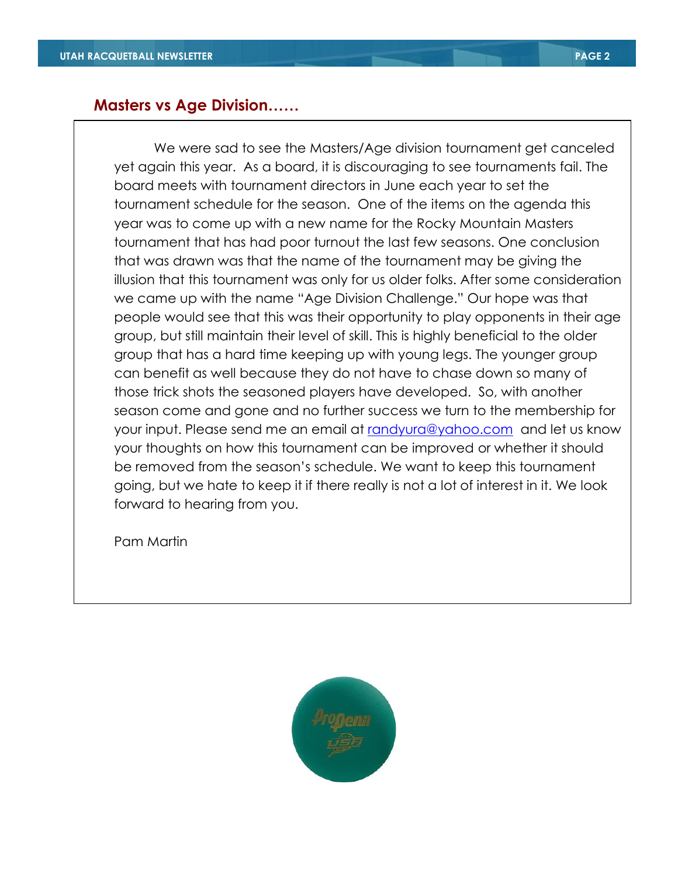## **Masters vs Age Division……**

We were sad to see the Masters/Age division tournament get canceled yet again this year. As a board, it is discouraging to see tournaments fail. The board meets with tournament directors in June each year to set the tournament schedule for the season. One of the items on the agenda this year was to come up with a new name for the Rocky Mountain Masters tournament that has had poor turnout the last few seasons. One conclusion that was drawn was that the name of the tournament may be giving the illusion that this tournament was only for us older folks. After some consideration we came up with the name "Age Division Challenge." Our hope was that people would see that this was their opportunity to play opponents in their age group, but still maintain their level of skill. This is highly beneficial to the older group that has a hard time keeping up with young legs. The younger group can benefit as well because they do not have to chase down so many of those trick shots the seasoned players have developed. So, with another season come and gone and no further success we turn to the membership for your input. Please send me an email at [randyura@yahoo.com](mailto:randyura@yahoo.com) and let us know your thoughts on how this tournament can be improved or whether it should be removed from the season's schedule. We want to keep this tournament going, but we hate to keep it if there really is not a lot of interest in it. We look forward to hearing from you.

Pam Martin

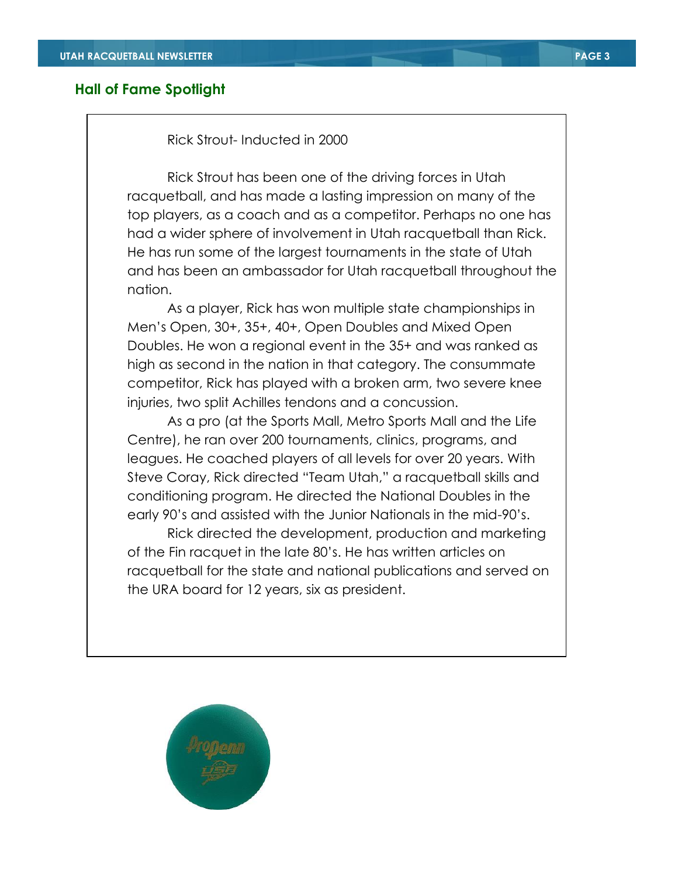### **Hall of Fame Spotlight**

### Rick Strout- Inducted in 2000

Rick Strout has been one of the driving forces in Utah racquetball, and has made a lasting impression on many of the top players, as a coach and as a competitor. Perhaps no one has had a wider sphere of involvement in Utah racquetball than Rick. He has run some of the largest tournaments in the state of Utah and has been an ambassador for Utah racquetball throughout the nation.

As a player, Rick has won multiple state championships in Men's Open, 30+, 35+, 40+, Open Doubles and Mixed Open Doubles. He won a regional event in the 35+ and was ranked as high as second in the nation in that category. The consummate competitor, Rick has played with a broken arm, two severe knee injuries, two split Achilles tendons and a concussion.

As a pro (at the Sports Mall, Metro Sports Mall and the Life Centre), he ran over 200 tournaments, clinics, programs, and leagues. He coached players of all levels for over 20 years. With Steve Coray, Rick directed "Team Utah," a racquetball skills and conditioning program. He directed the National Doubles in the early 90's and assisted with the Junior Nationals in the mid-90's.

Rick directed the development, production and marketing of the Fin racquet in the late 80's. He has written articles on racquetball for the state and national publications and served on the URA board for 12 years, six as president.

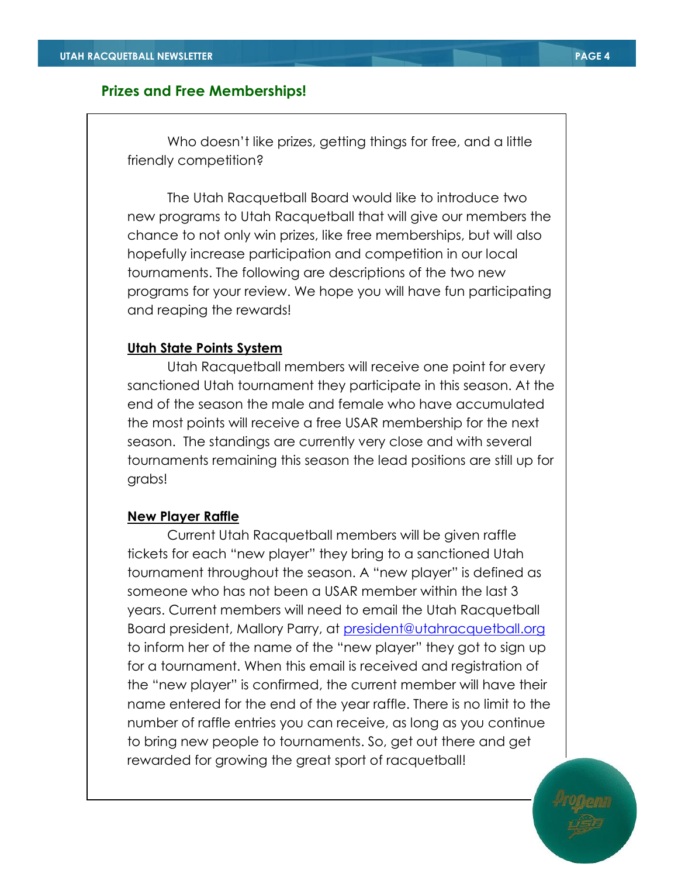## **Prizes and Free Memberships!**

Who doesn't like prizes, getting things for free, and a little friendly competition?

The Utah Racquetball Board would like to introduce two new programs to Utah Racquetball that will give our members the chance to not only win prizes, like free memberships, but will also hopefully increase participation and competition in our local tournaments. The following are descriptions of the two new programs for your review. We hope you will have fun participating and reaping the rewards!

### **Utah State Points System**

Utah Racquetball members will receive one point for every sanctioned Utah tournament they participate in this season. At the end of the season the male and female who have accumulated the most points will receive a free USAR membership for the next season. The standings are currently very close and with several tournaments remaining this season the lead positions are still up for grabs!

## **New Player Raffle**

Current Utah Racquetball members will be given raffle tickets for each "new player" they bring to a sanctioned Utah tournament throughout the season. A "new player" is defined as someone who has not been a USAR member within the last 3 years. Current members will need to email the Utah Racquetball Board president, Mallory Parry, at [president@utahracquetball.org](mailto:president@utahracquetball.org) to inform her of the name of the "new player" they got to sign up for a tournament. When this email is received and registration of the "new player" is confirmed, the current member will have their name entered for the end of the year raffle. There is no limit to the number of raffle entries you can receive, as long as you continue to bring new people to tournaments. So, get out there and get rewarded for growing the great sport of racquetball!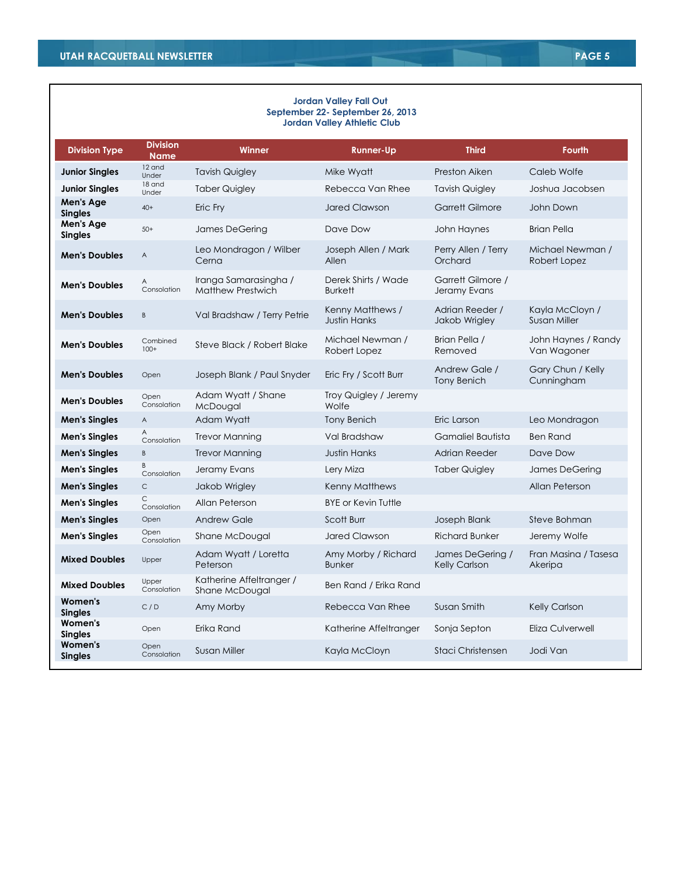#### **Jordan Valley Fall Out September 22- September 26, 2013 Jordan Valley Athletic Club**

| <b>Division Type</b>        | <b>Division</b><br><b>Name</b> | <b>Winner</b>                                     | <b>Runner-Up</b>                        | <b>Third</b>                        | <b>Fourth</b>                          |
|-----------------------------|--------------------------------|---------------------------------------------------|-----------------------------------------|-------------------------------------|----------------------------------------|
| <b>Junior Singles</b>       | 12 and<br>Under                | <b>Tavish Quigley</b>                             | Mike Wyatt                              | Preston Aiken                       | Caleb Wolfe                            |
| <b>Junior Singles</b>       | 18 and<br>Under                | <b>Taber Quigley</b>                              | Rebecca Van Rhee                        | <b>Tavish Quigley</b>               | Joshua Jacobsen                        |
| Men's Age<br><b>Singles</b> | $40+$                          | Eric Fry                                          | <b>Jared Clawson</b>                    | <b>Garrett Gilmore</b>              | John Down                              |
| Men's Age<br><b>Singles</b> | $50+$                          | James DeGering                                    | Dave Dow                                | John Haynes                         | <b>Brian Pella</b>                     |
| <b>Men's Doubles</b>        | A                              | Leo Mondragon / Wilber<br>Cerna                   | Joseph Allen / Mark<br>Allen            | Perry Allen / Terry<br>Orchard      | Michael Newman /<br>Robert Lopez       |
| <b>Men's Doubles</b>        | Α<br>Consolation               | Iranga Samarasingha /<br><b>Matthew Prestwich</b> | Derek Shirts / Wade<br><b>Burkett</b>   | Garrett Gilmore /<br>Jeramy Evans   |                                        |
| <b>Men's Doubles</b>        | B                              | Val Bradshaw / Terry Petrie                       | Kenny Matthews /<br><b>Justin Hanks</b> | Adrian Reeder /<br>Jakob Wrigley    | Kayla McCloyn /<br><b>Susan Miller</b> |
| <b>Men's Doubles</b>        | Combined<br>$100+$             | Steve Black / Robert Blake                        | Michael Newman /<br>Robert Lopez        | Brian Pella /<br>Removed            | John Haynes / Randy<br>Van Wagoner     |
| <b>Men's Doubles</b>        | Open                           | Joseph Blank / Paul Snyder                        | Eric Fry / Scott Burr                   | Andrew Gale /<br><b>Tony Benich</b> | Gary Chun / Kelly<br>Cunningham        |
| <b>Men's Doubles</b>        | Open<br>Consolation            | Adam Wyatt / Shane<br>McDougal                    | Troy Quigley / Jeremy<br>Wolfe          |                                     |                                        |
| <b>Men's Singles</b>        | A                              | Adam Wyatt                                        | <b>Tony Benich</b>                      | Eric Larson                         | Leo Mondragon                          |
| <b>Men's Singles</b>        | Α<br>Consolation               | <b>Trevor Manning</b>                             | Val Bradshaw                            | Gamaliel Bautista                   | <b>Ben Rand</b>                        |
| <b>Men's Singles</b>        | B                              | <b>Trevor Manning</b>                             | <b>Justin Hanks</b>                     | Adrian Reeder                       | Dave Dow                               |
| <b>Men's Singles</b>        | B<br>Consolation               | Jeramy Evans                                      | Lery Miza                               | <b>Taber Quigley</b>                | James DeGering                         |
| <b>Men's Singles</b>        | $\mathsf C$                    | Jakob Wrigley                                     | Kenny Matthews                          |                                     | Allan Peterson                         |
| <b>Men's Singles</b>        | C.<br>Consolation              | Allan Peterson                                    | <b>BYE</b> or Kevin Tuttle              |                                     |                                        |
| <b>Men's Singles</b>        | Open                           | <b>Andrew Gale</b>                                | Scott Burr                              | Joseph Blank                        | Steve Bohman                           |
| <b>Men's Singles</b>        | Open<br>Consolation            | Shane McDougal                                    | <b>Jared Clawson</b>                    | <b>Richard Bunker</b>               | Jeremy Wolfe                           |
| <b>Mixed Doubles</b>        | Upper                          | Adam Wyatt / Loretta<br>Peterson                  | Amy Morby / Richard<br><b>Bunker</b>    | James DeGering /<br>Kelly Carlson   | Fran Masina / Tasesa<br>Akeripa        |
| <b>Mixed Doubles</b>        | Upper<br>Consolation           | Katherine Affeltranger /<br>Shane McDougal        | Ben Rand / Erika Rand                   |                                     |                                        |
| Women's<br><b>Singles</b>   | C/D                            | Amy Morby                                         | Rebecca Van Rhee                        | Susan Smith                         | <b>Kelly Carlson</b>                   |
| Women's<br><b>Singles</b>   | Open                           | Erika Rand                                        | Katherine Affeltranger                  | Sonja Septon                        | Eliza Culverwell                       |
| Women's<br><b>Singles</b>   | Open<br>Consolation            | Susan Miller                                      | Kayla McCloyn                           | Staci Christensen                   | Jodi Van                               |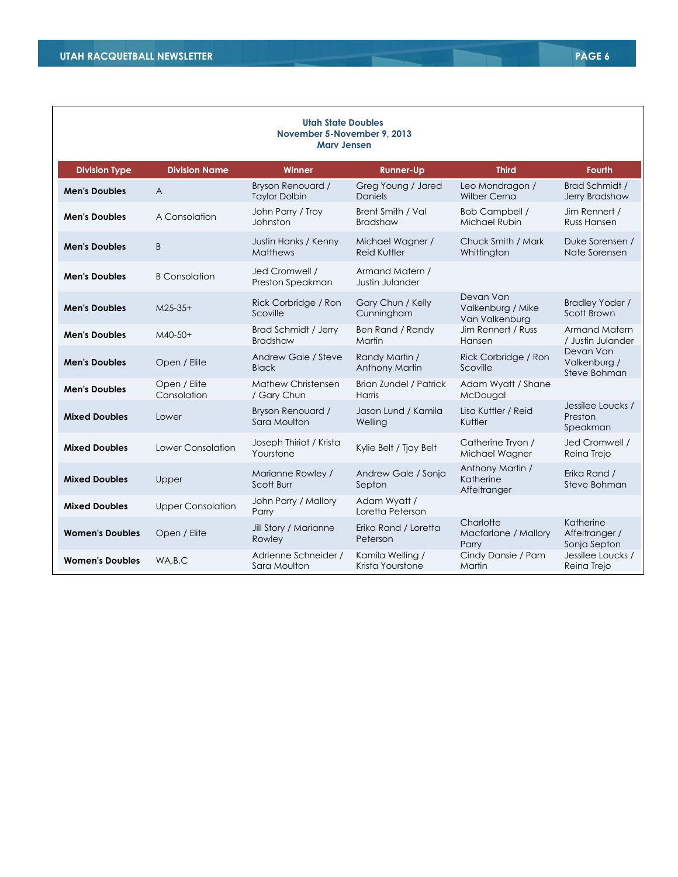| <b>Utah State Doubles</b><br>November 5-November 9, 2013<br><b>Mary Jensen</b> |                             |                                           |                                         |                                                  |                                             |  |
|--------------------------------------------------------------------------------|-----------------------------|-------------------------------------------|-----------------------------------------|--------------------------------------------------|---------------------------------------------|--|
| <b>Division Type</b>                                                           | <b>Division Name</b>        | Winner                                    | <b>Runner-Up</b>                        | <b>Third</b>                                     | <b>Fourth</b>                               |  |
| <b>Men's Doubles</b>                                                           | $\overline{A}$              | Bryson Renouard /<br><b>Taylor Dolbin</b> | Greg Young / Jared<br><b>Daniels</b>    | Leo Mondragon /<br>Wilber Cerna                  | Brad Schmidt /<br>Jerry Bradshaw            |  |
| <b>Men's Doubles</b>                                                           | A Consolation               | John Parry / Troy<br>Johnston             | Brent Smith / Val<br><b>Bradshaw</b>    | <b>Bob Campbell /</b><br>Michael Rubin           | Jim Rennert /<br>Russ Hansen                |  |
| <b>Men's Doubles</b>                                                           | B                           | Justin Hanks / Kenny<br><b>Matthews</b>   | Michael Wagner /<br><b>Reid Kuttler</b> | Chuck Smith / Mark<br>Whittington                | Duke Sorensen /<br>Nate Sorensen            |  |
| <b>Men's Doubles</b>                                                           | <b>B</b> Consolation        | Jed Cromwell /<br>Preston Speakman        | Armand Matern /<br>Justin Julander      |                                                  |                                             |  |
| <b>Men's Doubles</b>                                                           | $M25-35+$                   | Rick Corbridge / Ron<br>Scoville          | Gary Chun / Kelly<br>Cunningham         | Devan Van<br>Valkenburg / Mike<br>Van Valkenburg | <b>Bradley Yoder /</b><br>Scott Brown       |  |
| <b>Men's Doubles</b>                                                           | M40-50+                     | Brad Schmidt / Jerry<br><b>Bradshaw</b>   | Ben Rand / Randy<br>Martin              | Jim Rennert / Russ<br>Hansen                     | Armand Matern<br>/ Justin Julander          |  |
| <b>Men's Doubles</b>                                                           | Open / Elite                | Andrew Gale / Steve<br><b>Black</b>       | Randy Martin /<br>Anthony Martin        | Rick Corbridge / Ron<br>Scoville                 | Devan Van<br>Valkenburg /<br>Steve Bohman   |  |
| <b>Men's Doubles</b>                                                           | Open / Elite<br>Consolation | <b>Mathew Christensen</b><br>/ Gary Chun  | <b>Brian Zundel / Patrick</b><br>Harris | Adam Wyatt / Shane<br>McDougal                   |                                             |  |
| <b>Mixed Doubles</b>                                                           | Lower                       | Bryson Renouard /<br>Sara Moulton         | Jason Lund / Kamila<br>Welling          | Lisa Kuttler / Reid<br>Kuttler                   | Jessilee Loucks /<br>Preston<br>Speakman    |  |
| <b>Mixed Doubles</b>                                                           | Lower Consolation           | Joseph Thiriot / Krista<br>Yourstone      | Kylie Belt / Tjay Belt                  | Catherine Tryon /<br>Michael Wagner              | Jed Cromwell /<br>Reina Trejo               |  |
| <b>Mixed Doubles</b>                                                           | Upper                       | Marianne Rowley /<br>Scott Burr           | Andrew Gale / Sonja<br>Septon           | Anthony Martin /<br>Katherine<br>Affeltranger    | Erika Rand /<br>Steve Bohman                |  |
| <b>Mixed Doubles</b>                                                           | <b>Upper Consolation</b>    | John Parry / Mallory<br>Parry             | Adam Wyatt /<br>Loretta Peterson        |                                                  |                                             |  |
| <b>Women's Doubles</b>                                                         | Open / Elite                | Jill Story / Marianne<br>Rowley           | Erika Rand / Loretta<br>Peterson        | Charlotte<br>Macfarlane / Mallory<br>Parry       | Katherine<br>Affeltranger /<br>Sonja Septon |  |
| <b>Women's Doubles</b>                                                         | WA,B,C                      | Adrienne Schneider /<br>Sara Moulton      | Kamila Welling /<br>Krista Yourstone    | Cindy Dansie / Pam<br>Martin                     | Jessilee Loucks /<br>Reina Trejo            |  |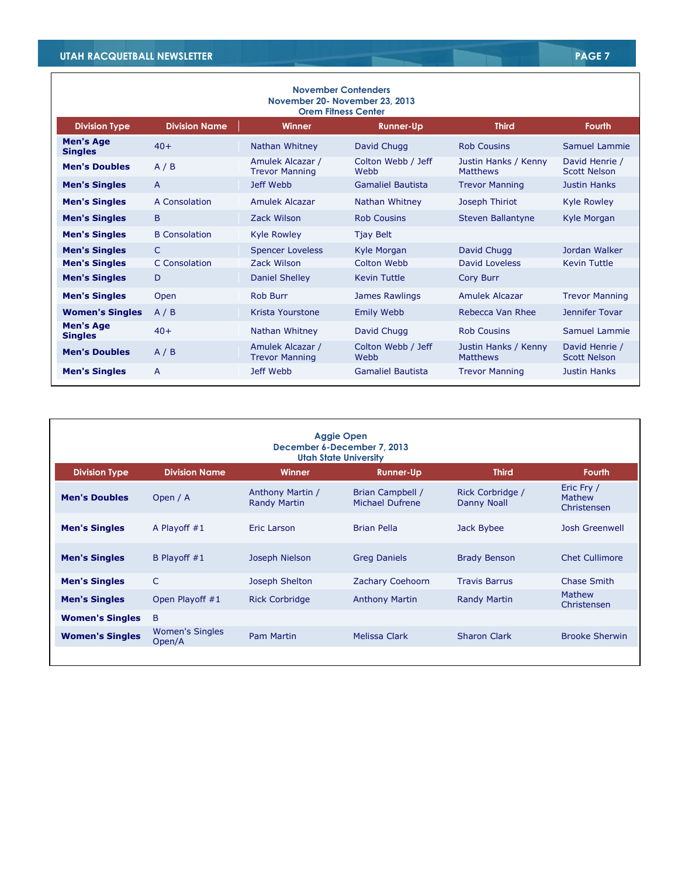| <b>November Contenders</b><br>November 20 - November 23, 2013<br><b>Orem Fitness Center</b> |                      |                                           |                            |                                         |                                       |  |
|---------------------------------------------------------------------------------------------|----------------------|-------------------------------------------|----------------------------|-----------------------------------------|---------------------------------------|--|
| <b>Division Type</b>                                                                        | <b>Division Name</b> | Winner                                    | <b>Runner-Up</b>           | <b>Third</b>                            | <b>Fourth</b>                         |  |
| <b>Men's Age</b><br><b>Singles</b>                                                          | $40+$                | Nathan Whitney                            | David Chugg                | <b>Rob Cousins</b>                      | Samuel Lammie                         |  |
| <b>Men's Doubles</b>                                                                        | A/B                  | Amulek Alcazar /<br><b>Trevor Manning</b> | Colton Webb / Jeff<br>Webb | Justin Hanks / Kenny<br><b>Matthews</b> | David Henrie /<br><b>Scott Nelson</b> |  |
| <b>Men's Singles</b>                                                                        | $\overline{A}$       | Jeff Webb                                 | <b>Gamaliel Bautista</b>   | <b>Trevor Manning</b>                   | <b>Justin Hanks</b>                   |  |
| <b>Men's Singles</b>                                                                        | A Consolation        | Amulek Alcazar                            | Nathan Whitney             | Joseph Thiriot                          | <b>Kyle Rowley</b>                    |  |
| <b>Men's Singles</b>                                                                        | B                    | Zack Wilson                               | <b>Rob Cousins</b>         | <b>Steven Ballantyne</b>                | Kyle Morgan                           |  |
| <b>Men's Singles</b>                                                                        | <b>B</b> Consolation | <b>Kyle Rowley</b>                        | <b>Tjay Belt</b>           |                                         |                                       |  |
| <b>Men's Singles</b>                                                                        | C                    | <b>Spencer Loveless</b>                   | Kyle Morgan                | David Chugg                             | Jordan Walker                         |  |
| <b>Men's Singles</b>                                                                        | C Consolation        | Zack Wilson                               | Colton Webb                | David Loveless                          | <b>Kevin Tuttle</b>                   |  |
| <b>Men's Singles</b>                                                                        | D                    | Daniel Shelley                            | <b>Kevin Tuttle</b>        | <b>Cory Burr</b>                        |                                       |  |
| <b>Men's Singles</b>                                                                        | Open                 | <b>Rob Burr</b>                           | James Rawlings             | <b>Amulek Alcazar</b>                   | <b>Trevor Manning</b>                 |  |
| <b>Women's Singles</b>                                                                      | A/B                  | Krista Yourstone                          | <b>Emily Webb</b>          | Rebecca Van Rhee                        | Jennifer Tovar                        |  |
| <b>Men's Age</b><br><b>Singles</b>                                                          | $40+$                | Nathan Whitney                            | David Chugg                | <b>Rob Cousins</b>                      | Samuel Lammie                         |  |
| <b>Men's Doubles</b>                                                                        | A/B                  | Amulek Alcazar /<br><b>Trevor Manning</b> | Colton Webb / Jeff<br>Webb | Justin Hanks / Kenny<br><b>Matthews</b> | David Henrie /<br><b>Scott Nelson</b> |  |
| <b>Men's Singles</b>                                                                        | A                    | Jeff Webb                                 | <b>Gamaliel Bautista</b>   | <b>Trevor Manning</b>                   | Justin Hanks                          |  |

| <b>Aggie Open</b><br>December 6-December 7, 2013<br><b>Utah State University</b> |                                  |                                         |                                     |                                 |                                     |  |
|----------------------------------------------------------------------------------|----------------------------------|-----------------------------------------|-------------------------------------|---------------------------------|-------------------------------------|--|
| <b>Division Type</b>                                                             | <b>Division Name</b>             | <b>Winner</b>                           | <b>Runner-Up</b>                    | <b>Third</b>                    | <b>Fourth</b>                       |  |
| <b>Men's Doubles</b>                                                             | Open / A                         | Anthony Martin /<br><b>Randy Martin</b> | Brian Campbell /<br>Michael Dufrene | Rick Corbridge /<br>Danny Noall | Eric Fry /<br>Mathew<br>Christensen |  |
| <b>Men's Singles</b>                                                             | A Playoff $#1$                   | Eric Larson                             | <b>Brian Pella</b>                  | Jack Bybee                      | Josh Greenwell                      |  |
| <b>Men's Singles</b>                                                             | B Playoff $#1$                   | Joseph Nielson                          | <b>Greg Daniels</b>                 | <b>Brady Benson</b>             | <b>Chet Cullimore</b>               |  |
| <b>Men's Singles</b>                                                             | $\mathsf{C}$                     | Joseph Shelton                          | Zachary Coehoorn                    | <b>Travis Barrus</b>            | Chase Smith                         |  |
| <b>Men's Singles</b>                                                             | Open Playoff #1                  | <b>Rick Corbridge</b>                   | <b>Anthony Martin</b>               | <b>Randy Martin</b>             | Mathew<br>Christensen               |  |
| <b>Women's Singles</b>                                                           | B                                |                                         |                                     |                                 |                                     |  |
| <b>Women's Singles</b>                                                           | <b>Women's Singles</b><br>Open/A | <b>Pam Martin</b>                       | Melissa Clark                       | <b>Sharon Clark</b>             | <b>Brooke Sherwin</b>               |  |
|                                                                                  |                                  |                                         |                                     |                                 |                                     |  |

٦